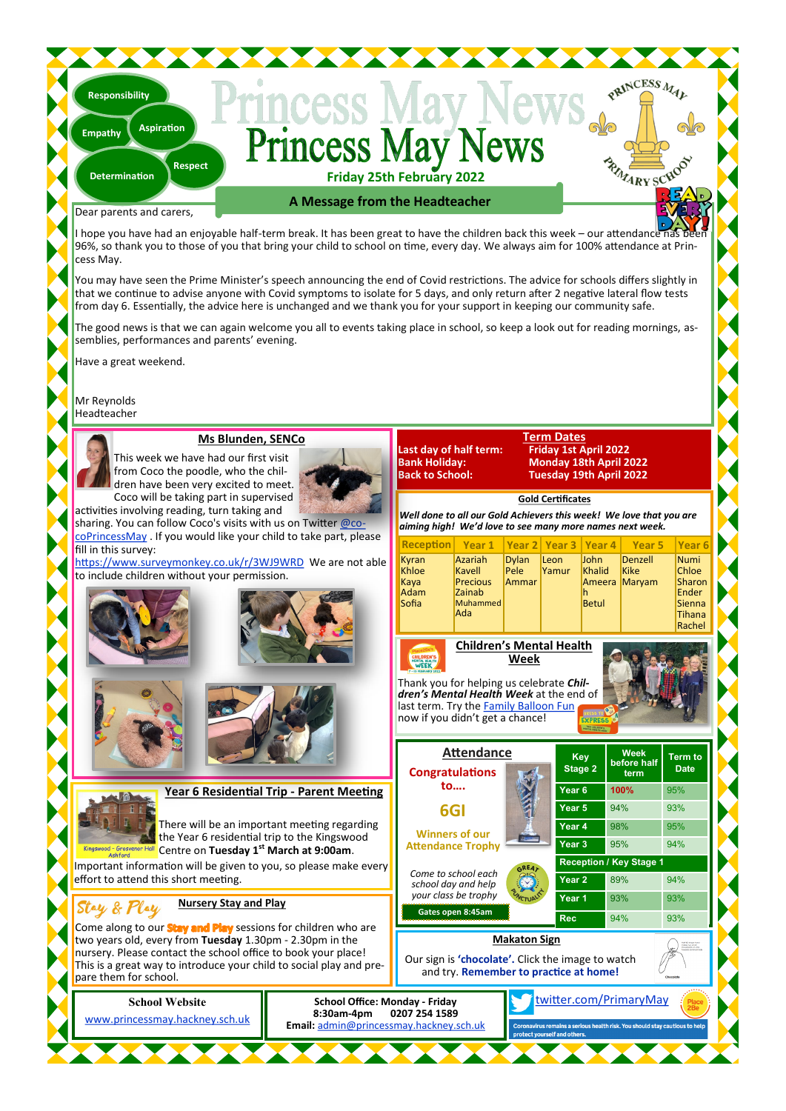#### ince **lav Friday 25th February 2022**

Dear parents and carers,

**Determination**

**Responsibility**

**Empathy**

**Respect**

**Aspiration**

**A Message from the Headteacher**

I hope you have had an enjoyable half-term break. It has been great to have the children back this week – our attendance 96%, so thank you to those of you that bring your child to school on time, every day. We always aim for 100% attendance at Princess May.

You may have seen the Prime Minister's speech announcing the end of Covid restrictions. The advice for schools differs slightly in that we continue to advise anyone with Covid symptoms to isolate for 5 days, and only return after 2 negative lateral flow tests from day 6. Essentially, the advice here is unchanged and we thank you for your support in keeping our community safe.

The good news is that we can again welcome you all to events taking place in school, so keep a look out for reading mornings, assemblies, performances and parents' evening.

**Last day of half term:**<br>**Bank Holiday:** 

**School Office: Monday - Friday**

**Email:** [admin@princessmay.hackney.sch.uk](mailto:admin@princessmay.hackney.sch.uk)

**8:30am-4pm 0207 254 1589**

Have a great weekend.

Mr Reynolds Headteacher

#### **Ms Blunden, SENCo**

This week we have had our first visit from Coco the poodle, who the children have been very excited to meet. Coco will be taking part in supervised activities involving reading, turn taking and



sharing. You can follow Coco's visits with us on Twitter [@co](http://www.twitter.com/cocoPrincessMay)[coPrincessMay](http://www.twitter.com/cocoPrincessMay) . If you would like your child to take part, please fill in this survey:

<https://www.surveymonkey.co.uk/r/3WJ9WRD>We are not able to include children without your permission.



#### **Term Dates Bank Holiday: Monday 18th April 2022 Back to School: Tuesday 19th April 2022**

PRINCESS MAL

RIVARY SCHOO

**Gold Certificates** *Well done to all our Gold Achievers this week! We love that you are* 

| aiming high! We'd love to see many more names next week. |                                                                   |                               |               |                                                 |                                  |                                                                       |  |
|----------------------------------------------------------|-------------------------------------------------------------------|-------------------------------|---------------|-------------------------------------------------|----------------------------------|-----------------------------------------------------------------------|--|
| Reception Year 1   Year 2   Year 3   Year 4   Year 5     |                                                                   |                               |               |                                                 |                                  | Year <sub>6</sub>                                                     |  |
| Kyran<br>Khloe<br>Kaya<br>Adam<br>Sofia                  | Azariah<br>Kavell<br><b>Precious</b><br>Zainab<br>Muhammed<br>Ada | <b>Dylan</b><br>Pele<br>Ammar | Leon<br>Yamur | <b>John</b><br>Khalid<br>Ameera<br><b>Betul</b> | Denzell<br><b>Kike</b><br>Marvam | Numi<br><b>Chloe</b><br>Sharon<br>Ender<br>Sienna<br>Tihana<br>Rachel |  |
| <b>Children's Mental Health</b><br>Week<br><b>WEEK</b>   |                                                                   |                               |               |                                                 |                                  |                                                                       |  |

Thank you for helping us celebrate *Children's Mental Health Week* at the end of last term. Try the [Family Balloon Fun](https://www.princessmay.hackney.sch.uk/attachments/download.asp?file=808&type=pdf) now if you didn't get a chance!

**Attendance Congratulations Attendance Trophy**  *Come to school each school day and help your class be trophy*  **Key Stage 2 Week before half term Term to Date Year 6 100%** 95% **Year 5** 94% 93% **Year 4** 98% 95% **Year 3** 95% 94% **Reception / Key Stage Year 2** 89% 94% **Year 1** 93% 93% **Rec** 8:45am **Rec** 94% 93%

[twitter.com/PrimaryMay](https://www.twitter.com/PrimaryMay)

**Makaton Sign**

Our sign is **'chocolate'.** Click the image to watch and try. **Remember to practice at home!**

**School Website**

[www.princessmay.hackney.sch.uk](http://www.princessmay.hackney.sch.uk)